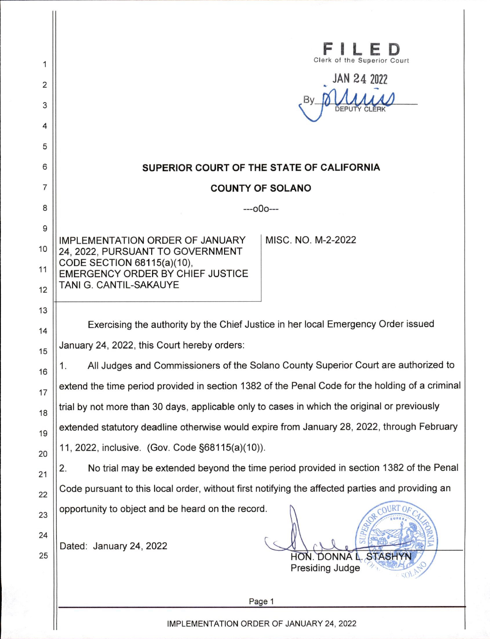|                                                                                                                                                                                                                                                                 | of the Superior Court<br>JAN 24 2022                                                                                                                                                                                                                                                                                                                                                                                                                                                                                                                                  |
|-----------------------------------------------------------------------------------------------------------------------------------------------------------------------------------------------------------------------------------------------------------------|-----------------------------------------------------------------------------------------------------------------------------------------------------------------------------------------------------------------------------------------------------------------------------------------------------------------------------------------------------------------------------------------------------------------------------------------------------------------------------------------------------------------------------------------------------------------------|
|                                                                                                                                                                                                                                                                 | SUPERIOR COURT OF THE STATE OF CALIFORNIA                                                                                                                                                                                                                                                                                                                                                                                                                                                                                                                             |
|                                                                                                                                                                                                                                                                 | <b>COUNTY OF SOLANO</b>                                                                                                                                                                                                                                                                                                                                                                                                                                                                                                                                               |
|                                                                                                                                                                                                                                                                 | ---000---                                                                                                                                                                                                                                                                                                                                                                                                                                                                                                                                                             |
| <b>IMPLEMENTATION ORDER OF JANUARY</b><br>24, 2022, PURSUANT TO GOVERNMENT<br>CODE SECTION 68115(a)(10),<br>EMERGENCY ORDER BY CHIEF JUSTICE<br>TANI G. CANTIL-SAKAUYE                                                                                          | MISC. NO. M-2-2022                                                                                                                                                                                                                                                                                                                                                                                                                                                                                                                                                    |
| January 24, 2022, this Court hereby orders:<br>1.<br>trial by not more than 30 days, applicable only to cases in which the original or previously<br>11, 2022, inclusive. (Gov. Code §68115(a)(10)).<br>2.<br>opportunity to object and be heard on the record. | Exercising the authority by the Chief Justice in her local Emergency Order issued<br>All Judges and Commissioners of the Solano County Superior Court are authorized to<br>extend the time period provided in section 1382 of the Penal Code for the holding of a criminal<br>extended statutory deadline otherwise would expire from January 28, 2022, through February<br>No trial may be extended beyond the time period provided in section 1382 of the Penal<br>Code pursuant to this local order, without first notifying the affected parties and providing an |
| Dated: January 24, 2022                                                                                                                                                                                                                                         | <b>STASHY</b><br>HON. DONNA L.<br>Presiding Judge<br>Page 1                                                                                                                                                                                                                                                                                                                                                                                                                                                                                                           |
| IMPLEMENTATION ORDER OF JANUARY 24, 2022                                                                                                                                                                                                                        |                                                                                                                                                                                                                                                                                                                                                                                                                                                                                                                                                                       |

 $\overline{1}$